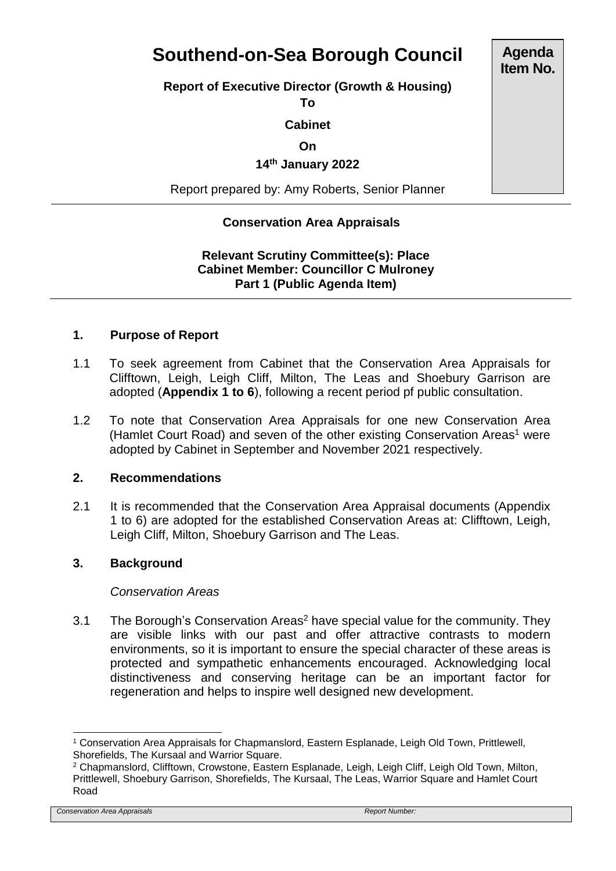# **Southend-on-Sea Borough Council**

**Report of Executive Director (Growth & Housing)**

**To**

### **Cabinet**

# **On**

# **14th January 2022**

Report prepared by: Amy Roberts, Senior Planner

# **Conservation Area Appraisals**

# **Relevant Scrutiny Committee(s): Place Cabinet Member: Councillor C Mulroney Part 1 (Public Agenda Item)**

#### **1. Purpose of Report**

- 1.1 To seek agreement from Cabinet that the Conservation Area Appraisals for Clifftown, Leigh, Leigh Cliff, Milton, The Leas and Shoebury Garrison are adopted (**Appendix 1 to 6**), following a recent period pf public consultation.
- 1.2 To note that Conservation Area Appraisals for one new Conservation Area (Hamlet Court Road) and seven of the other existing Conservation Areas<sup>1</sup> were adopted by Cabinet in September and November 2021 respectively.

#### **2. Recommendations**

2.1 It is recommended that the Conservation Area Appraisal documents (Appendix 1 to 6) are adopted for the established Conservation Areas at: Clifftown, Leigh, Leigh Cliff, Milton, Shoebury Garrison and The Leas.

### **3. Background**

#### *Conservation Areas*

3.1 The Borough's Conservation Areas<sup>2</sup> have special value for the community. They are visible links with our past and offer attractive contrasts to modern environments, so it is important to ensure the special character of these areas is protected and sympathetic enhancements encouraged. Acknowledging local distinctiveness and conserving heritage can be an important factor for regeneration and helps to inspire well designed new development.

*Conservation Area Appraisals Report Number:* 

**Agenda Item No.**

l <sup>1</sup> Conservation Area Appraisals for Chapmanslord, Eastern Esplanade, Leigh Old Town, Prittlewell, Shorefields, The Kursaal and Warrior Square.

<sup>2</sup> Chapmanslord, Clifftown, Crowstone, Eastern Esplanade, Leigh, Leigh Cliff, Leigh Old Town, Milton, Prittlewell, Shoebury Garrison, Shorefields, The Kursaal, The Leas, Warrior Square and Hamlet Court Road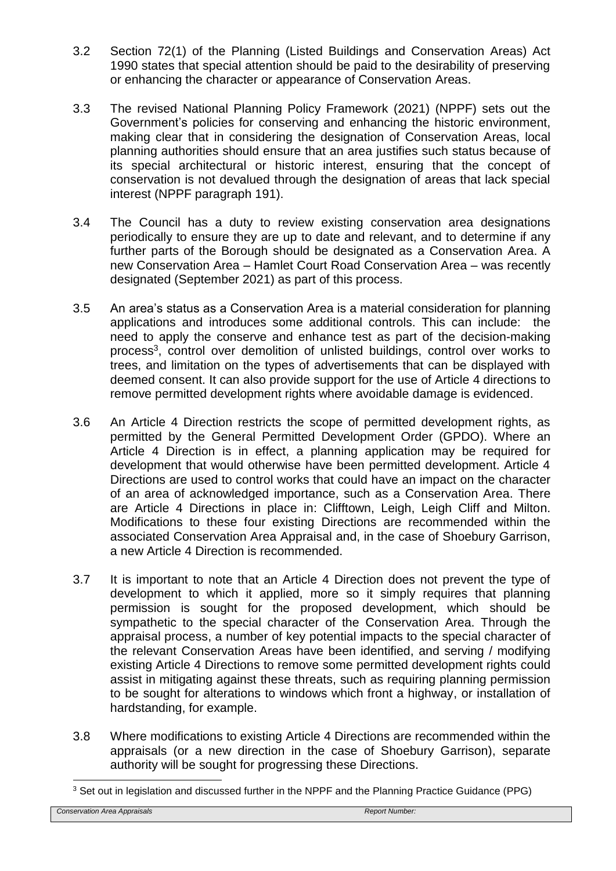- 3.2 Section 72(1) of the Planning (Listed Buildings and Conservation Areas) Act 1990 states that special attention should be paid to the desirability of preserving or enhancing the character or appearance of Conservation Areas.
- 3.3 The revised National Planning Policy Framework (2021) (NPPF) sets out the Government's policies for conserving and enhancing the historic environment, making clear that in considering the designation of Conservation Areas, local planning authorities should ensure that an area justifies such status because of its special architectural or historic interest, ensuring that the concept of conservation is not devalued through the designation of areas that lack special interest (NPPF paragraph 191).
- 3.4 The Council has a duty to review existing conservation area designations periodically to ensure they are up to date and relevant, and to determine if any further parts of the Borough should be designated as a Conservation Area. A new Conservation Area – Hamlet Court Road Conservation Area – was recently designated (September 2021) as part of this process.
- 3.5 An area's status as a Conservation Area is a material consideration for planning applications and introduces some additional controls. This can include: the need to apply the conserve and enhance test as part of the decision-making process<sup>3</sup>, control over demolition of unlisted buildings, control over works to trees, and limitation on the types of advertisements that can be displayed with deemed consent. It can also provide support for the use of Article 4 directions to remove permitted development rights where avoidable damage is evidenced.
- 3.6 An Article 4 Direction restricts the scope of permitted development rights, as permitted by the General Permitted Development Order (GPDO). Where an Article 4 Direction is in effect, a planning application may be required for development that would otherwise have been permitted development. Article 4 Directions are used to control works that could have an impact on the character of an area of acknowledged importance, such as a Conservation Area. There are Article 4 Directions in place in: Clifftown, Leigh, Leigh Cliff and Milton. Modifications to these four existing Directions are recommended within the associated Conservation Area Appraisal and, in the case of Shoebury Garrison, a new Article 4 Direction is recommended.
- 3.7 It is important to note that an Article 4 Direction does not prevent the type of development to which it applied, more so it simply requires that planning permission is sought for the proposed development, which should be sympathetic to the special character of the Conservation Area. Through the appraisal process, a number of key potential impacts to the special character of the relevant Conservation Areas have been identified, and serving / modifying existing Article 4 Directions to remove some permitted development rights could assist in mitigating against these threats, such as requiring planning permission to be sought for alterations to windows which front a highway, or installation of hardstanding, for example.
- 3.8 Where modifications to existing Article 4 Directions are recommended within the appraisals (or a new direction in the case of Shoebury Garrison), separate authority will be sought for progressing these Directions.

l <sup>3</sup> Set out in legislation and discussed further in the NPPF and the Planning Practice Guidance (PPG)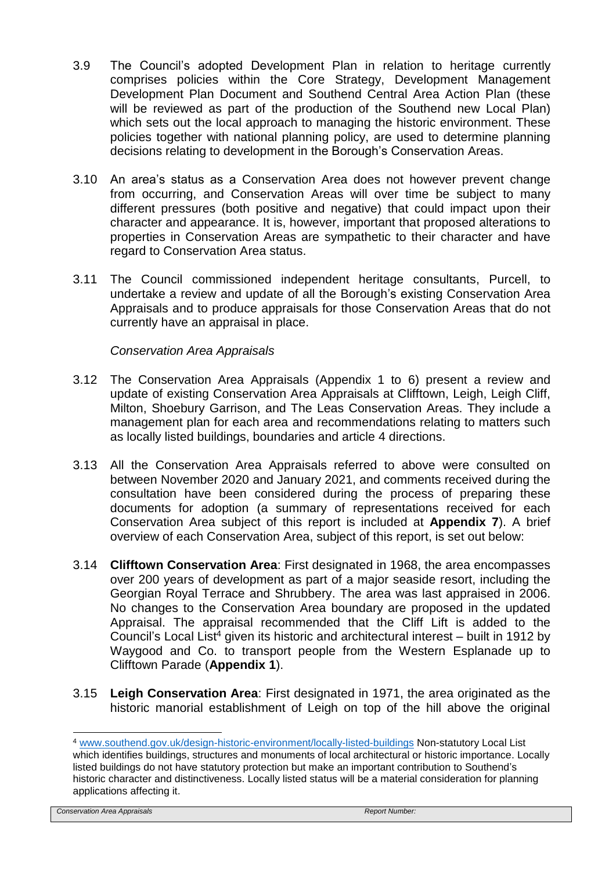- 3.9 The Council's adopted Development Plan in relation to heritage currently comprises policies within the Core Strategy, Development Management Development Plan Document and Southend Central Area Action Plan (these will be reviewed as part of the production of the Southend new Local Plan) which sets out the local approach to managing the historic environment. These policies together with national planning policy, are used to determine planning decisions relating to development in the Borough's Conservation Areas.
- 3.10 An area's status as a Conservation Area does not however prevent change from occurring, and Conservation Areas will over time be subject to many different pressures (both positive and negative) that could impact upon their character and appearance. It is, however, important that proposed alterations to properties in Conservation Areas are sympathetic to their character and have regard to Conservation Area status.
- 3.11 The Council commissioned independent heritage consultants, Purcell, to undertake a review and update of all the Borough's existing Conservation Area Appraisals and to produce appraisals for those Conservation Areas that do not currently have an appraisal in place.

*Conservation Area Appraisals*

- 3.12 The Conservation Area Appraisals (Appendix 1 to 6) present a review and update of existing Conservation Area Appraisals at Clifftown, Leigh, Leigh Cliff, Milton, Shoebury Garrison, and The Leas Conservation Areas. They include a management plan for each area and recommendations relating to matters such as locally listed buildings, boundaries and article 4 directions.
- 3.13 All the Conservation Area Appraisals referred to above were consulted on between November 2020 and January 2021, and comments received during the consultation have been considered during the process of preparing these documents for adoption (a summary of representations received for each Conservation Area subject of this report is included at **Appendix 7**). A brief overview of each Conservation Area, subject of this report, is set out below:
- 3.14 **Clifftown Conservation Area**: First designated in 1968, the area encompasses over 200 years of development as part of a major seaside resort, including the Georgian Royal Terrace and Shrubbery. The area was last appraised in 2006. No changes to the Conservation Area boundary are proposed in the updated Appraisal. The appraisal recommended that the Cliff Lift is added to the Council's Local List<sup>4</sup> given its historic and architectural interest – built in 1912 by Waygood and Co. to transport people from the Western Esplanade up to Clifftown Parade (**Appendix 1**).
- 3.15 **Leigh Conservation Area**: First designated in 1971, the area originated as the historic manorial establishment of Leigh on top of the hill above the original

*Conservation Area Appraisals Report Number:* 

l

<sup>4</sup> [www.southend.gov.uk/design-historic-environment/locally-listed-buildings](http://www.southend.gov.uk/design-historic-environment/locally-listed-buildings) Non-statutory Local List which identifies buildings, structures and monuments of local architectural or historic importance. Locally listed buildings do not have statutory protection but make an important contribution to Southend's historic character and distinctiveness. Locally listed status will be a material consideration for planning applications affecting it.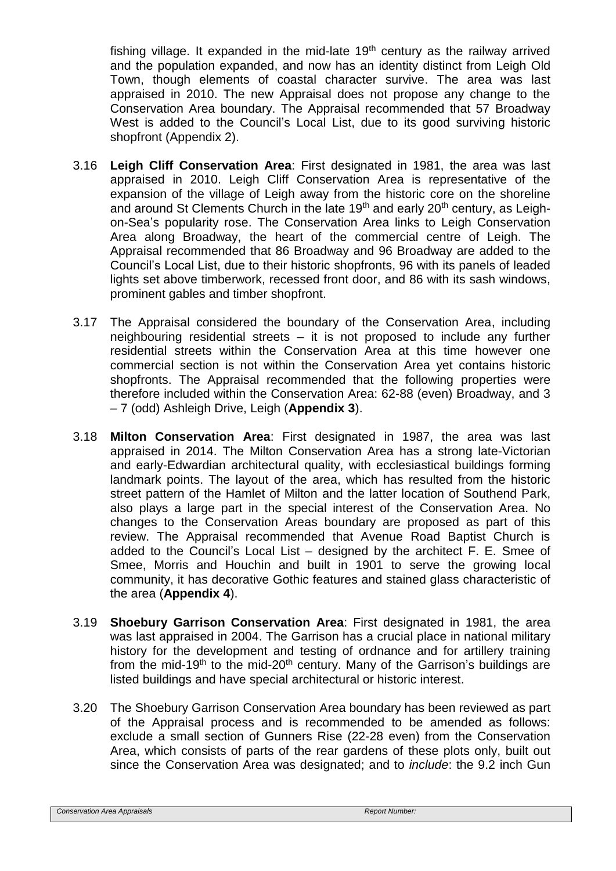fishing village. It expanded in the mid-late 19<sup>th</sup> century as the railway arrived and the population expanded, and now has an identity distinct from Leigh Old Town, though elements of coastal character survive. The area was last appraised in 2010. The new Appraisal does not propose any change to the Conservation Area boundary. The Appraisal recommended that 57 Broadway West is added to the Council's Local List, due to its good surviving historic shopfront (Appendix 2).

- 3.16 **Leigh Cliff Conservation Area**: First designated in 1981, the area was last appraised in 2010. Leigh Cliff Conservation Area is representative of the expansion of the village of Leigh away from the historic core on the shoreline and around St Clements Church in the late  $19<sup>th</sup>$  and early  $20<sup>th</sup>$  century, as Leighon-Sea's popularity rose. The Conservation Area links to Leigh Conservation Area along Broadway, the heart of the commercial centre of Leigh. The Appraisal recommended that 86 Broadway and 96 Broadway are added to the Council's Local List, due to their historic shopfronts, 96 with its panels of leaded lights set above timberwork, recessed front door, and 86 with its sash windows, prominent gables and timber shopfront.
- 3.17 The Appraisal considered the boundary of the Conservation Area, including neighbouring residential streets – it is not proposed to include any further residential streets within the Conservation Area at this time however one commercial section is not within the Conservation Area yet contains historic shopfronts. The Appraisal recommended that the following properties were therefore included within the Conservation Area: 62-88 (even) Broadway, and 3 – 7 (odd) Ashleigh Drive, Leigh (**Appendix 3**).
- 3.18 **Milton Conservation Area**: First designated in 1987, the area was last appraised in 2014. The Milton Conservation Area has a strong late-Victorian and early-Edwardian architectural quality, with ecclesiastical buildings forming landmark points. The layout of the area, which has resulted from the historic street pattern of the Hamlet of Milton and the latter location of Southend Park, also plays a large part in the special interest of the Conservation Area. No changes to the Conservation Areas boundary are proposed as part of this review. The Appraisal recommended that Avenue Road Baptist Church is added to the Council's Local List – designed by the architect F. E. Smee of Smee, Morris and Houchin and built in 1901 to serve the growing local community, it has decorative Gothic features and stained glass characteristic of the area (**Appendix 4**).
- 3.19 **Shoebury Garrison Conservation Area**: First designated in 1981, the area was last appraised in 2004. The Garrison has a crucial place in national military history for the development and testing of ordnance and for artillery training from the mid-19<sup>th</sup> to the mid-20<sup>th</sup> century. Many of the Garrison's buildings are listed buildings and have special architectural or historic interest.
- 3.20 The Shoebury Garrison Conservation Area boundary has been reviewed as part of the Appraisal process and is recommended to be amended as follows: exclude a small section of Gunners Rise (22-28 even) from the Conservation Area, which consists of parts of the rear gardens of these plots only, built out since the Conservation Area was designated; and to *include*: the 9.2 inch Gun

```
Conservation Area Appraisals Report Number:
```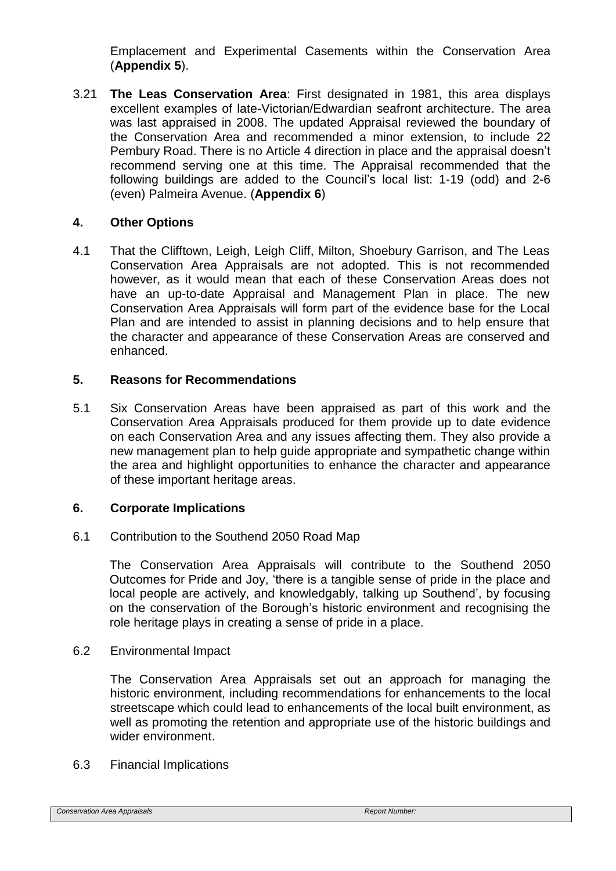Emplacement and Experimental Casements within the Conservation Area (**Appendix 5**).

3.21 **The Leas Conservation Area**: First designated in 1981, this area displays excellent examples of late-Victorian/Edwardian seafront architecture. The area was last appraised in 2008. The updated Appraisal reviewed the boundary of the Conservation Area and recommended a minor extension, to include 22 Pembury Road. There is no Article 4 direction in place and the appraisal doesn't recommend serving one at this time. The Appraisal recommended that the following buildings are added to the Council's local list: 1-19 (odd) and 2-6 (even) Palmeira Avenue. (**Appendix 6**)

# **4. Other Options**

4.1 That the Clifftown, Leigh, Leigh Cliff, Milton, Shoebury Garrison, and The Leas Conservation Area Appraisals are not adopted. This is not recommended however, as it would mean that each of these Conservation Areas does not have an up-to-date Appraisal and Management Plan in place. The new Conservation Area Appraisals will form part of the evidence base for the Local Plan and are intended to assist in planning decisions and to help ensure that the character and appearance of these Conservation Areas are conserved and enhanced.

# **5. Reasons for Recommendations**

5.1 Six Conservation Areas have been appraised as part of this work and the Conservation Area Appraisals produced for them provide up to date evidence on each Conservation Area and any issues affecting them. They also provide a new management plan to help guide appropriate and sympathetic change within the area and highlight opportunities to enhance the character and appearance of these important heritage areas.

# **6. Corporate Implications**

6.1 Contribution to the Southend 2050 Road Map

The Conservation Area Appraisals will contribute to the Southend 2050 Outcomes for Pride and Joy, 'there is a tangible sense of pride in the place and local people are actively, and knowledgably, talking up Southend', by focusing on the conservation of the Borough's historic environment and recognising the role heritage plays in creating a sense of pride in a place.

# 6.2 Environmental Impact

The Conservation Area Appraisals set out an approach for managing the historic environment, including recommendations for enhancements to the local streetscape which could lead to enhancements of the local built environment, as well as promoting the retention and appropriate use of the historic buildings and wider environment.

#### 6.3 Financial Implications

*Conservation Area Appraisals Report Number:*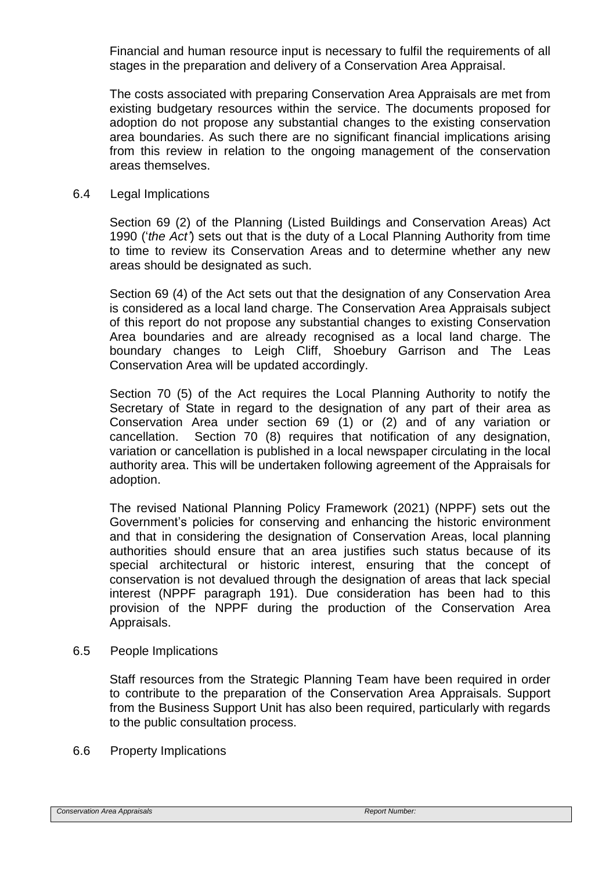Financial and human resource input is necessary to fulfil the requirements of all stages in the preparation and delivery of a Conservation Area Appraisal.

The costs associated with preparing Conservation Area Appraisals are met from existing budgetary resources within the service. The documents proposed for adoption do not propose any substantial changes to the existing conservation area boundaries. As such there are no significant financial implications arising from this review in relation to the ongoing management of the conservation areas themselves.

#### 6.4 Legal Implications

Section 69 (2) of the Planning (Listed Buildings and Conservation Areas) Act 1990 ('*the Act'*) sets out that is the duty of a Local Planning Authority from time to time to review its Conservation Areas and to determine whether any new areas should be designated as such.

Section 69 (4) of the Act sets out that the designation of any Conservation Area is considered as a local land charge. The Conservation Area Appraisals subject of this report do not propose any substantial changes to existing Conservation Area boundaries and are already recognised as a local land charge. The boundary changes to Leigh Cliff, Shoebury Garrison and The Leas Conservation Area will be updated accordingly.

Section 70 (5) of the Act requires the Local Planning Authority to notify the Secretary of State in regard to the designation of any part of their area as Conservation Area under section 69 (1) or (2) and of any variation or cancellation. Section 70 (8) requires that notification of any designation, variation or cancellation is published in a local newspaper circulating in the local authority area. This will be undertaken following agreement of the Appraisals for adoption.

The revised National Planning Policy Framework (2021) (NPPF) sets out the Government's policies for conserving and enhancing the historic environment and that in considering the designation of Conservation Areas, local planning authorities should ensure that an area justifies such status because of its special architectural or historic interest, ensuring that the concept of conservation is not devalued through the designation of areas that lack special interest (NPPF paragraph 191). Due consideration has been had to this provision of the NPPF during the production of the Conservation Area Appraisals.

#### 6.5 People Implications

Staff resources from the Strategic Planning Team have been required in order to contribute to the preparation of the Conservation Area Appraisals. Support from the Business Support Unit has also been required, particularly with regards to the public consultation process.

6.6 Property Implications

#### **Conservation Area Appraisals Report Number: Report Number: Report Number: Report Number: Report Number:**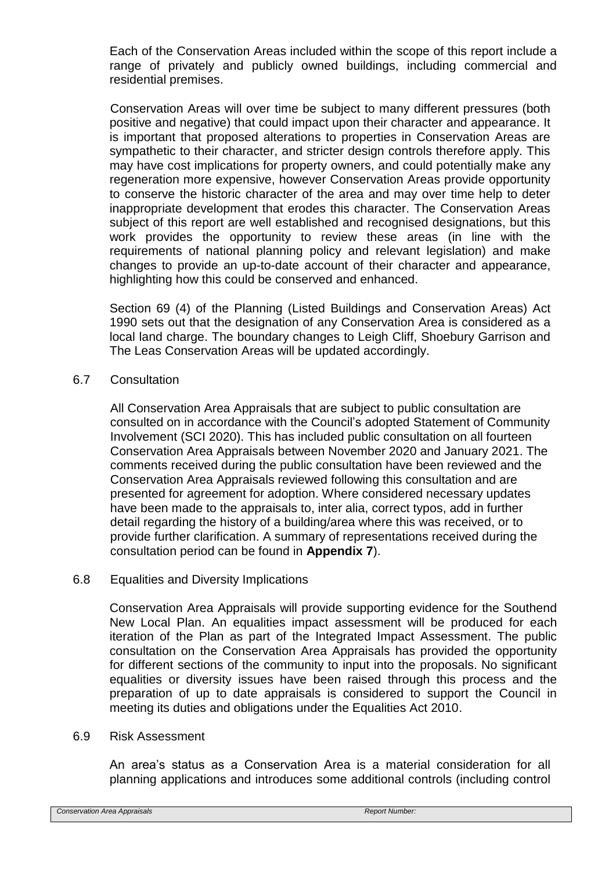Each of the Conservation Areas included within the scope of this report include a range of privately and publicly owned buildings, including commercial and residential premises.

Conservation Areas will over time be subject to many different pressures (both positive and negative) that could impact upon their character and appearance. It is important that proposed alterations to properties in Conservation Areas are sympathetic to their character, and stricter design controls therefore apply. This may have cost implications for property owners, and could potentially make any regeneration more expensive, however Conservation Areas provide opportunity to conserve the historic character of the area and may over time help to deter inappropriate development that erodes this character. The Conservation Areas subject of this report are well established and recognised designations, but this work provides the opportunity to review these areas (in line with the requirements of national planning policy and relevant legislation) and make changes to provide an up-to-date account of their character and appearance, highlighting how this could be conserved and enhanced.

Section 69 (4) of the Planning (Listed Buildings and Conservation Areas) Act 1990 sets out that the designation of any Conservation Area is considered as a local land charge. The boundary changes to Leigh Cliff, Shoebury Garrison and The Leas Conservation Areas will be updated accordingly.

# 6.7 Consultation

All Conservation Area Appraisals that are subject to public consultation are consulted on in accordance with the Council's adopted Statement of Community Involvement (SCI 2020). This has included public consultation on all fourteen Conservation Area Appraisals between November 2020 and January 2021. The comments received during the public consultation have been reviewed and the Conservation Area Appraisals reviewed following this consultation and are presented for agreement for adoption. Where considered necessary updates have been made to the appraisals to, inter alia, correct typos, add in further detail regarding the history of a building/area where this was received, or to provide further clarification. A summary of representations received during the consultation period can be found in **Appendix 7**).

#### 6.8 Equalities and Diversity Implications

Conservation Area Appraisals will provide supporting evidence for the Southend New Local Plan. An equalities impact assessment will be produced for each iteration of the Plan as part of the Integrated Impact Assessment. The public consultation on the Conservation Area Appraisals has provided the opportunity for different sections of the community to input into the proposals. No significant equalities or diversity issues have been raised through this process and the preparation of up to date appraisals is considered to support the Council in meeting its duties and obligations under the Equalities Act 2010.

#### 6.9 Risk Assessment

An area's status as a Conservation Area is a material consideration for all planning applications and introduces some additional controls (including control

*Conservation Area Appraisals Report Number:*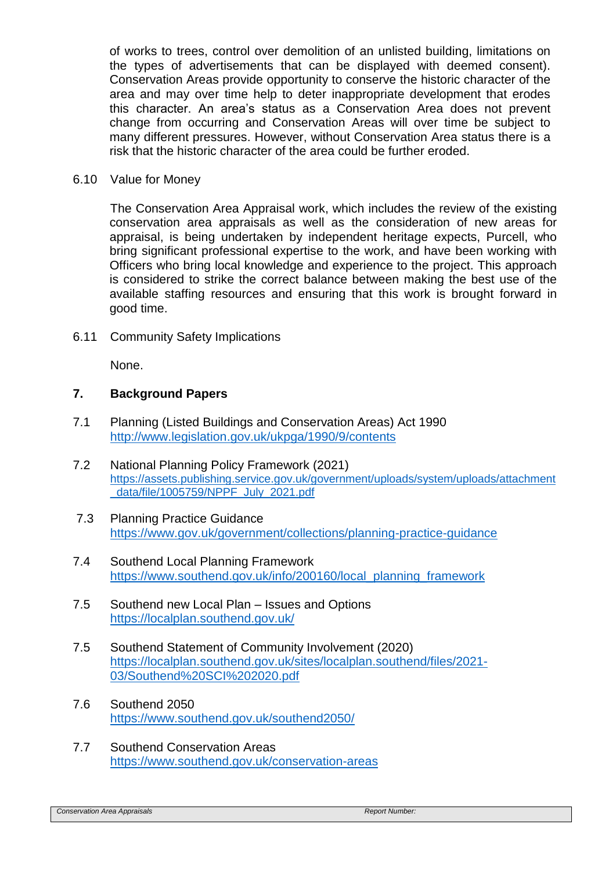of works to trees, control over demolition of an unlisted building, limitations on the types of advertisements that can be displayed with deemed consent). Conservation Areas provide opportunity to conserve the historic character of the area and may over time help to deter inappropriate development that erodes this character. An area's status as a Conservation Area does not prevent change from occurring and Conservation Areas will over time be subject to many different pressures. However, without Conservation Area status there is a risk that the historic character of the area could be further eroded.

#### 6.10 Value for Money

The Conservation Area Appraisal work, which includes the review of the existing conservation area appraisals as well as the consideration of new areas for appraisal, is being undertaken by independent heritage expects, Purcell, who bring significant professional expertise to the work, and have been working with Officers who bring local knowledge and experience to the project. This approach is considered to strike the correct balance between making the best use of the available staffing resources and ensuring that this work is brought forward in good time.

6.11 Community Safety Implications

None.

# **7. Background Papers**

- 7.1 Planning (Listed Buildings and Conservation Areas) Act 1990 <http://www.legislation.gov.uk/ukpga/1990/9/contents>
- 7.2 National Planning Policy Framework (2021) [https://assets.publishing.service.gov.uk/government/uploads/system/uploads/attachment](https://assets.publishing.service.gov.uk/government/uploads/system/uploads/attachment_data/file/1005759/NPPF_July_2021.pdf) [\\_data/file/1005759/NPPF\\_July\\_2021.pdf](https://assets.publishing.service.gov.uk/government/uploads/system/uploads/attachment_data/file/1005759/NPPF_July_2021.pdf)
- 7.3 Planning Practice Guidance <https://www.gov.uk/government/collections/planning-practice-guidance>
- 7.4 Southend Local Planning Framework [https://www.southend.gov.uk/info/200160/local\\_planning\\_framework](https://www.southend.gov.uk/info/200160/local_planning_framework)
- 7.5 Southend new Local Plan Issues and Options <https://localplan.southend.gov.uk/>
- 7.5 Southend Statement of Community Involvement (2020) [https://localplan.southend.gov.uk/sites/localplan.southend/files/2021-](https://localplan.southend.gov.uk/sites/localplan.southend/files/2021-03/Southend%20SCI%202020.pdf) [03/Southend%20SCI%202020.pdf](https://localplan.southend.gov.uk/sites/localplan.southend/files/2021-03/Southend%20SCI%202020.pdf)
- 7.6 Southend 2050 <https://www.southend.gov.uk/southend2050/>
- 7.7 Southend Conservation Areas <https://www.southend.gov.uk/conservation-areas>

```
Conservation Area Appraisals Report Number:
```